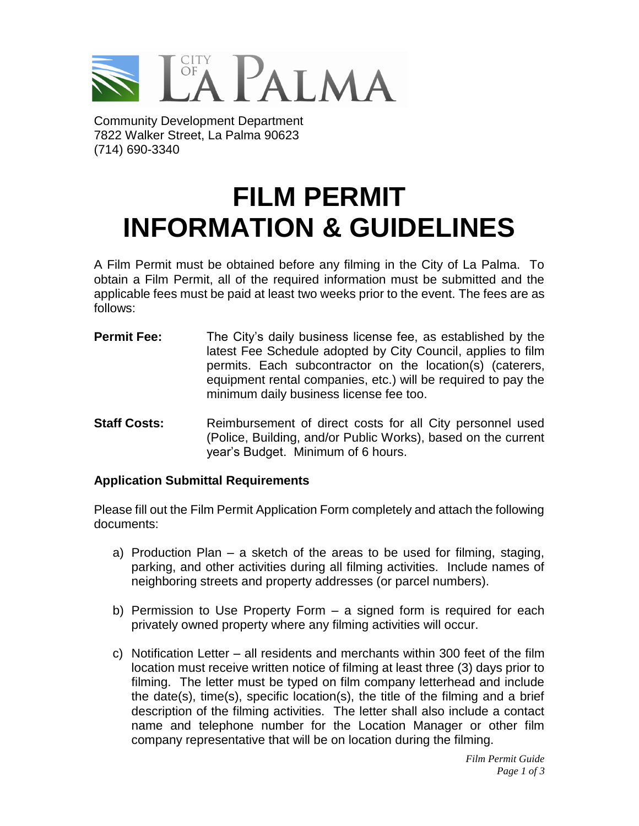

Community Development Department 7822 Walker Street, La Palma 90623 (714) 690-3340

## **FILM PERMIT INFORMATION & GUIDELINES**

A Film Permit must be obtained before any filming in the City of La Palma. To obtain a Film Permit, all of the required information must be submitted and the applicable fees must be paid at least two weeks prior to the event. The fees are as follows:

- **Permit Fee:** The City's daily business license fee, as established by the latest Fee Schedule adopted by City Council, applies to film permits. Each subcontractor on the location(s) (caterers, equipment rental companies, etc.) will be required to pay the minimum daily business license fee too.
- **Staff Costs:** Reimbursement of direct costs for all City personnel used (Police, Building, and/or Public Works), based on the current year's Budget. Minimum of 6 hours.

## **Application Submittal Requirements**

Please fill out the Film Permit Application Form completely and attach the following documents:

- a) Production Plan a sketch of the areas to be used for filming, staging, parking, and other activities during all filming activities. Include names of neighboring streets and property addresses (or parcel numbers).
- b) Permission to Use Property Form a signed form is required for each privately owned property where any filming activities will occur.
- c) Notification Letter all residents and merchants within 300 feet of the film location must receive written notice of filming at least three (3) days prior to filming. The letter must be typed on film company letterhead and include the date(s), time(s), specific location(s), the title of the filming and a brief description of the filming activities. The letter shall also include a contact name and telephone number for the Location Manager or other film company representative that will be on location during the filming.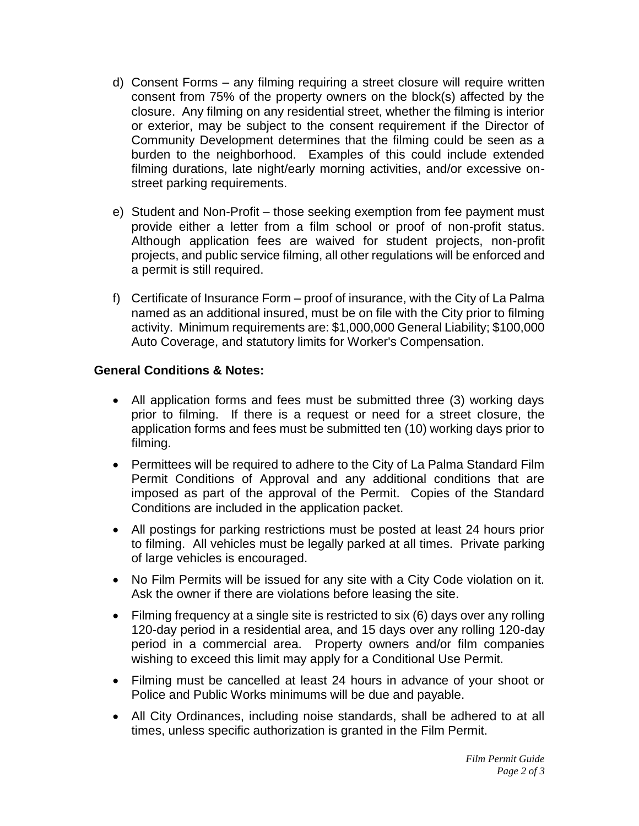- d) Consent Forms any filming requiring a street closure will require written consent from 75% of the property owners on the block(s) affected by the closure. Any filming on any residential street, whether the filming is interior or exterior, may be subject to the consent requirement if the Director of Community Development determines that the filming could be seen as a burden to the neighborhood. Examples of this could include extended filming durations, late night/early morning activities, and/or excessive onstreet parking requirements.
- e) Student and Non-Profit those seeking exemption from fee payment must provide either a letter from a film school or proof of non-profit status. Although application fees are waived for student projects, non-profit projects, and public service filming, all other regulations will be enforced and a permit is still required.
- f) Certificate of Insurance Form proof of insurance, with the City of La Palma named as an additional insured, must be on file with the City prior to filming activity. Minimum requirements are: \$1,000,000 General Liability; \$100,000 Auto Coverage, and statutory limits for Worker's Compensation.

## **General Conditions & Notes:**

- All application forms and fees must be submitted three (3) working days prior to filming. If there is a request or need for a street closure, the application forms and fees must be submitted ten (10) working days prior to filming.
- Permittees will be required to adhere to the City of La Palma Standard Film Permit Conditions of Approval and any additional conditions that are imposed as part of the approval of the Permit. Copies of the Standard Conditions are included in the application packet.
- All postings for parking restrictions must be posted at least 24 hours prior to filming. All vehicles must be legally parked at all times. Private parking of large vehicles is encouraged.
- No Film Permits will be issued for any site with a City Code violation on it. Ask the owner if there are violations before leasing the site.
- Filming frequency at a single site is restricted to six (6) days over any rolling 120-day period in a residential area, and 15 days over any rolling 120-day period in a commercial area. Property owners and/or film companies wishing to exceed this limit may apply for a Conditional Use Permit.
- Filming must be cancelled at least 24 hours in advance of your shoot or Police and Public Works minimums will be due and payable.
- All City Ordinances, including noise standards, shall be adhered to at all times, unless specific authorization is granted in the Film Permit.